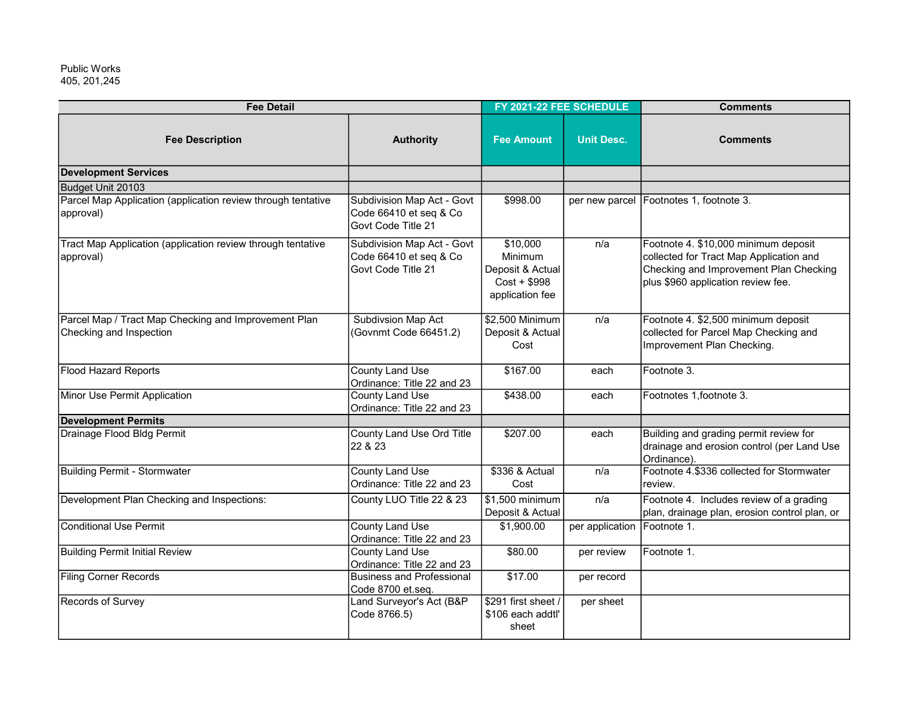405, 201,245 Public Works

| <b>Fee Detail</b>                                                               |                                                                            | FY 2021-22 FEE SCHEDULE                                                    |                             | <b>Comments</b>                                                                                                                                                 |
|---------------------------------------------------------------------------------|----------------------------------------------------------------------------|----------------------------------------------------------------------------|-----------------------------|-----------------------------------------------------------------------------------------------------------------------------------------------------------------|
| <b>Fee Description</b>                                                          | <b>Authority</b>                                                           | <b>Fee Amount</b>                                                          | <b>Unit Desc.</b>           | <b>Comments</b>                                                                                                                                                 |
| <b>Development Services</b>                                                     |                                                                            |                                                                            |                             |                                                                                                                                                                 |
| Budget Unit 20103                                                               |                                                                            |                                                                            |                             |                                                                                                                                                                 |
| Parcel Map Application (application review through tentative<br>approval)       | Subdivision Map Act - Govt<br>Code 66410 et seq & Co<br>Govt Code Title 21 | \$998.00                                                                   |                             | per new parcel Footnotes 1, footnote 3.                                                                                                                         |
| Tract Map Application (application review through tentative<br>approval)        | Subdivision Map Act - Govt<br>Code 66410 et seq & Co<br>Govt Code Title 21 | \$10,000<br>Minimum<br>Deposit & Actual<br>Cost + \$998<br>application fee | n/a                         | Footnote 4. \$10,000 minimum deposit<br>collected for Tract Map Application and<br>Checking and Improvement Plan Checking<br>plus \$960 application review fee. |
| Parcel Map / Tract Map Checking and Improvement Plan<br>Checking and Inspection | Subdivsion Map Act<br>(Govnmt Code 66451.2)                                | \$2,500 Minimum<br>Deposit & Actual<br>Cost                                | n/a                         | Footnote 4. \$2,500 minimum deposit<br>collected for Parcel Map Checking and<br>Improvement Plan Checking.                                                      |
| <b>Flood Hazard Reports</b>                                                     | <b>County Land Use</b><br>Ordinance: Title 22 and 23                       | \$167.00                                                                   | each                        | Footnote 3.                                                                                                                                                     |
| Minor Use Permit Application                                                    | <b>County Land Use</b><br>Ordinance: Title 22 and 23                       | \$438.00                                                                   | each                        | Footnotes 1, footnote 3.                                                                                                                                        |
| <b>Development Permits</b>                                                      |                                                                            |                                                                            |                             |                                                                                                                                                                 |
| Drainage Flood Bldg Permit                                                      | County Land Use Ord Title<br>22 & 23                                       | \$207.00                                                                   | each                        | Building and grading permit review for<br>drainage and erosion control (per Land Use<br>Ordinance).                                                             |
| <b>Building Permit - Stormwater</b>                                             | <b>County Land Use</b><br>Ordinance: Title 22 and 23                       | \$336 & Actual<br>Cost                                                     | n/a                         | Footnote 4.\$336 collected for Stormwater<br>review.                                                                                                            |
| Development Plan Checking and Inspections:                                      | County LUO Title 22 & 23                                                   | \$1,500 minimum<br>Deposit & Actual                                        | n/a                         | Footnote 4. Includes review of a grading<br>plan, drainage plan, erosion control plan, or                                                                       |
| <b>Conditional Use Permit</b>                                                   | <b>County Land Use</b><br>Ordinance: Title 22 and 23                       | \$1,900.00                                                                 | per application Footnote 1. |                                                                                                                                                                 |
| <b>Building Permit Initial Review</b>                                           | <b>County Land Use</b><br>Ordinance: Title 22 and 23                       | \$80.00                                                                    | per review                  | Footnote 1.                                                                                                                                                     |
| <b>Filing Corner Records</b>                                                    | <b>Business and Professional</b><br>Code 8700 et.seq.                      | \$17.00                                                                    | per record                  |                                                                                                                                                                 |
| Records of Survey                                                               | Land Surveyor's Act (B&P<br>Code 8766.5)                                   | \$291 first sheet /<br>\$106 each addtl'<br>sheet                          | per sheet                   |                                                                                                                                                                 |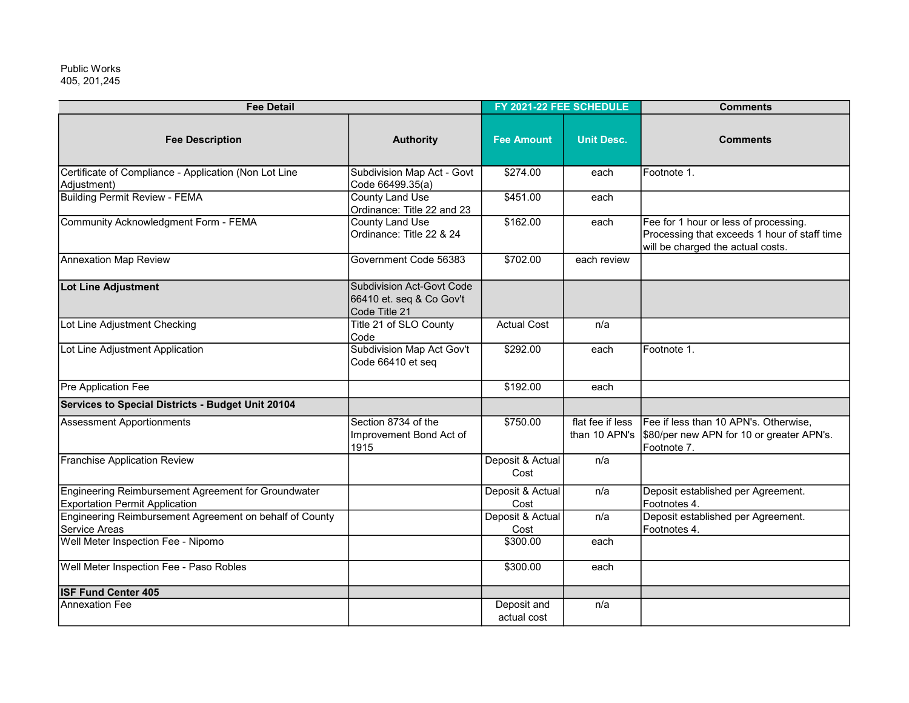## 405, 201,245 Public Works

| <b>Fee Detail</b>                                                                            |                                                                        | FY 2021-22 FEE SCHEDULE    |                                   | <b>Comments</b>                                                                                                            |
|----------------------------------------------------------------------------------------------|------------------------------------------------------------------------|----------------------------|-----------------------------------|----------------------------------------------------------------------------------------------------------------------------|
| <b>Fee Description</b>                                                                       | <b>Authority</b>                                                       | <b>Fee Amount</b>          | <b>Unit Desc.</b>                 | <b>Comments</b>                                                                                                            |
| Certificate of Compliance - Application (Non Lot Line<br>Adjustment)                         | Subdivision Map Act - Govt<br>Code 66499.35(a)                         | \$274.00                   | each                              | Footnote 1.                                                                                                                |
| <b>Building Permit Review - FEMA</b>                                                         | <b>County Land Use</b><br>Ordinance: Title 22 and 23                   | \$451.00                   | each                              |                                                                                                                            |
| Community Acknowledgment Form - FEMA                                                         | <b>County Land Use</b><br>Ordinance: Title 22 & 24                     | \$162.00                   | each                              | Fee for 1 hour or less of processing.<br>Processing that exceeds 1 hour of staff time<br>will be charged the actual costs. |
| Annexation Map Review                                                                        | Government Code 56383                                                  | \$702.00                   | each review                       |                                                                                                                            |
| Lot Line Adjustment                                                                          | Subdivision Act-Govt Code<br>66410 et. seq & Co Gov't<br>Code Title 21 |                            |                                   |                                                                                                                            |
| Lot Line Adjustment Checking                                                                 | Title 21 of SLO County<br>Code                                         | <b>Actual Cost</b>         | n/a                               |                                                                                                                            |
| Lot Line Adjustment Application                                                              | Subdivision Map Act Gov't<br>Code 66410 et seq                         | \$292.00                   | each                              | Footnote 1.                                                                                                                |
| Pre Application Fee                                                                          |                                                                        | \$192.00                   | each                              |                                                                                                                            |
| Services to Special Districts - Budget Unit 20104                                            |                                                                        |                            |                                   |                                                                                                                            |
| <b>Assessment Apportionments</b>                                                             | Section 8734 of the<br>Improvement Bond Act of<br>1915                 | \$750.00                   | flat fee if less<br>than 10 APN's | Fee if less than 10 APN's. Otherwise,<br>\$80/per new APN for 10 or greater APN's.<br>Footnote 7.                          |
| <b>Franchise Application Review</b>                                                          |                                                                        | Deposit & Actual<br>Cost   | n/a                               |                                                                                                                            |
| Engineering Reimbursement Agreement for Groundwater<br><b>Exportation Permit Application</b> |                                                                        | Deposit & Actual<br>Cost   | n/a                               | Deposit established per Agreement.<br>Footnotes 4.                                                                         |
| Engineering Reimbursement Agreement on behalf of County<br>Service Areas                     |                                                                        | Deposit & Actual<br>Cost   | n/a                               | Deposit established per Agreement.<br>Footnotes 4.                                                                         |
| Well Meter Inspection Fee - Nipomo                                                           |                                                                        | \$300.00                   | each                              |                                                                                                                            |
| Well Meter Inspection Fee - Paso Robles                                                      |                                                                        | \$300.00                   | each                              |                                                                                                                            |
| <b>ISF Fund Center 405</b>                                                                   |                                                                        |                            |                                   |                                                                                                                            |
| <b>Annexation Fee</b>                                                                        |                                                                        | Deposit and<br>actual cost | n/a                               |                                                                                                                            |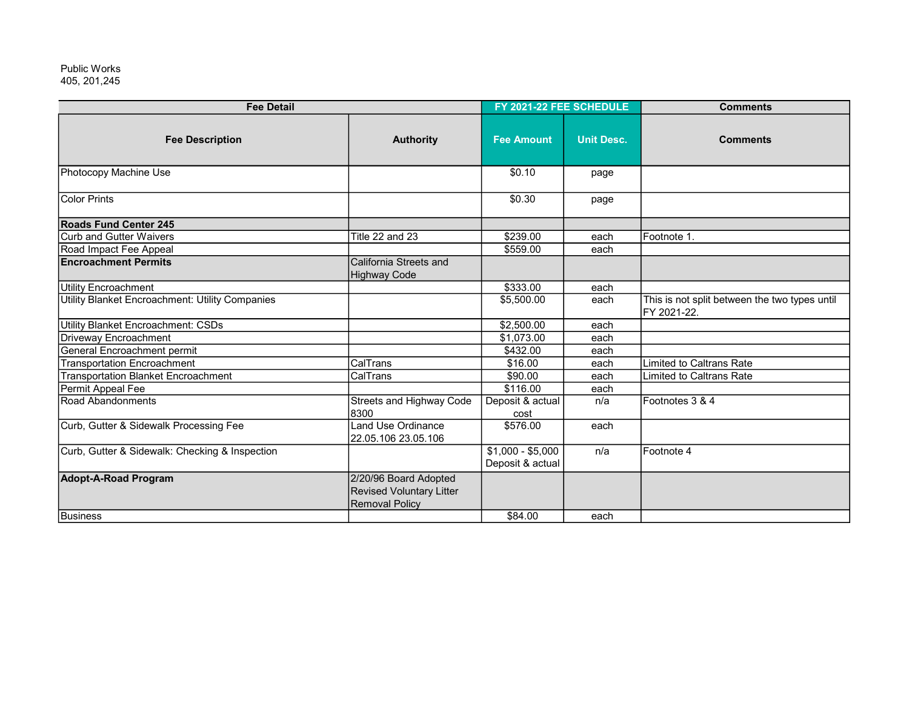405, 201,245 Public Works

| <b>Fee Detail</b>                               |                                                                                   | FY 2021-22 FEE SCHEDULE               |                   | <b>Comments</b>                                              |
|-------------------------------------------------|-----------------------------------------------------------------------------------|---------------------------------------|-------------------|--------------------------------------------------------------|
| <b>Fee Description</b>                          | <b>Authority</b>                                                                  | <b>Fee Amount</b>                     | <b>Unit Desc.</b> | <b>Comments</b>                                              |
| Photocopy Machine Use                           |                                                                                   | \$0.10                                | page              |                                                              |
| <b>Color Prints</b>                             |                                                                                   | \$0.30                                | page              |                                                              |
| <b>Roads Fund Center 245</b>                    |                                                                                   |                                       |                   |                                                              |
| Curb and Gutter Waivers                         | Title 22 and 23                                                                   | \$239.00                              | each              | Footnote 1.                                                  |
| Road Impact Fee Appeal                          |                                                                                   | \$559.00                              | each              |                                                              |
| <b>Encroachment Permits</b>                     | California Streets and<br><b>Highway Code</b>                                     |                                       |                   |                                                              |
| Utility Encroachment                            |                                                                                   | \$333.00                              | each              |                                                              |
| Utility Blanket Encroachment: Utility Companies |                                                                                   | \$5,500.00                            | each              | This is not split between the two types until<br>FY 2021-22. |
| Utility Blanket Encroachment: CSDs              |                                                                                   | \$2,500.00                            | each              |                                                              |
| Driveway Encroachment                           |                                                                                   | \$1,073.00                            | each              |                                                              |
| General Encroachment permit                     |                                                                                   | \$432.00                              | each              |                                                              |
| <b>Transportation Encroachment</b>              | CalTrans                                                                          | \$16.00                               | each              | Limited to Caltrans Rate                                     |
| <b>Transportation Blanket Encroachment</b>      | CalTrans                                                                          | \$90.00                               | each              | Limited to Caltrans Rate                                     |
| Permit Appeal Fee                               |                                                                                   | \$116.00                              | each              |                                                              |
| Road Abandonments                               | <b>Streets and Highway Code</b><br>8300                                           | Deposit & actual<br>cost              | n/a               | Footnotes 3 & 4                                              |
| Curb, Gutter & Sidewalk Processing Fee          | Land Use Ordinance<br>22.05.106 23.05.106                                         | \$576.00                              | each              |                                                              |
| Curb, Gutter & Sidewalk: Checking & Inspection  |                                                                                   | $$1,000 - $5,000$<br>Deposit & actual | n/a               | Footnote 4                                                   |
| <b>Adopt-A-Road Program</b>                     | 2/20/96 Board Adopted<br><b>Revised Voluntary Litter</b><br><b>Removal Policy</b> |                                       |                   |                                                              |
| <b>Business</b>                                 |                                                                                   | \$84.00                               | each              |                                                              |